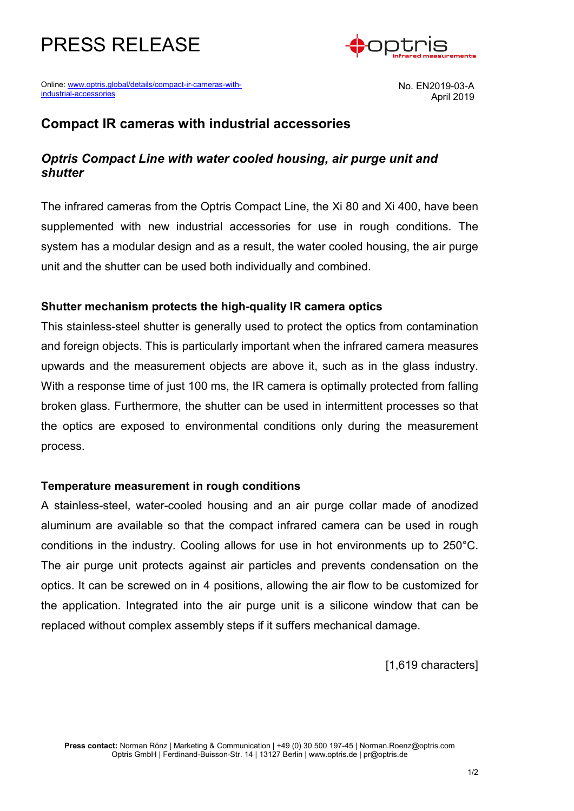



Online: [www.optris.global/details/compact-ir-cameras-with](http://www.optris.global/details/compact-ir-cameras-with-industrial-accessories)[industrial-accessories](http://www.optris.global/details/compact-ir-cameras-with-industrial-accessories)

No. EN2019-03-A April 2019

# **Compact IR cameras with industrial accessories**

# *Optris Compact Line with water cooled housing, air purge unit and shutter*

The infrared cameras from the Optris Compact Line, the Xi 80 and Xi 400, have been supplemented with new industrial accessories for use in rough conditions. The system has a modular design and as a result, the water cooled housing, the air purge unit and the shutter can be used both individually and combined.

### **Shutter mechanism protects the high-quality IR camera optics**

This stainless-steel shutter is generally used to protect the optics from contamination and foreign objects. This is particularly important when the infrared camera measures upwards and the measurement objects are above it, such as in the glass industry. With a response time of just 100 ms, the IR camera is optimally protected from falling broken glass. Furthermore, the shutter can be used in intermittent processes so that the optics are exposed to environmental conditions only during the measurement process.

### **Temperature measurement in rough conditions**

A stainless-steel, water-cooled housing and an air purge collar made of anodized aluminum are available so that the compact infrared camera can be used in rough conditions in the industry. Cooling allows for use in hot environments up to 250°C. The air purge unit protects against air particles and prevents condensation on the optics. It can be screwed on in 4 positions, allowing the air flow to be customized for the application. Integrated into the air purge unit is a silicone window that can be replaced without complex assembly steps if it suffers mechanical damage.

[1,619 characters]